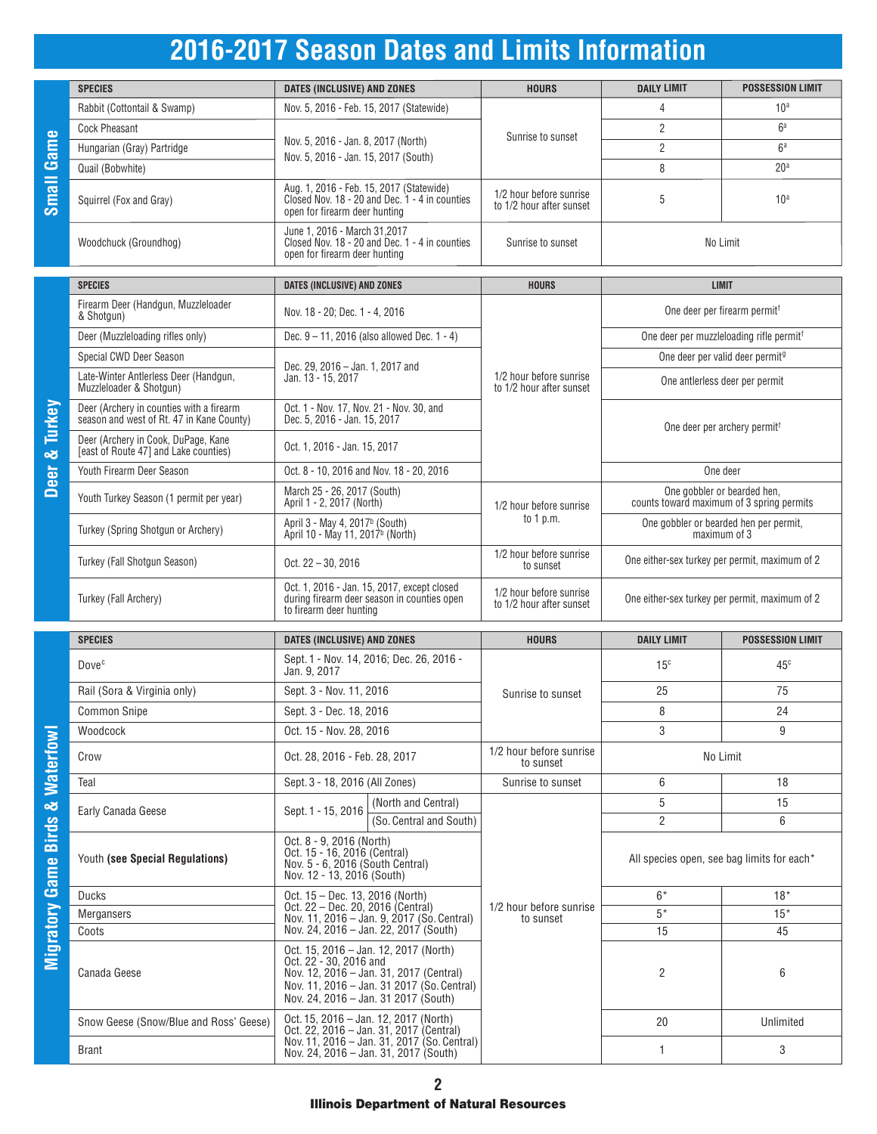# **2016-2017 Season Dates and Limits Information**

**SPECIES DATES (INCLUSIVE) AND ZONES HOURS DAILY LIMIT POSSESSION LIMIT**

|                                           | Rabbit (Cottontail & Swamp)                                                           | Nov. 5, 2016 - Feb. 15, 2017 (Statewide)                                                                                                                                                         |                                                     | $\overline{4}$                                                           | 10 <sup>a</sup>                            |  |
|-------------------------------------------|---------------------------------------------------------------------------------------|--------------------------------------------------------------------------------------------------------------------------------------------------------------------------------------------------|-----------------------------------------------------|--------------------------------------------------------------------------|--------------------------------------------|--|
| <b>Small Game</b>                         | <b>Cock Pheasant</b>                                                                  |                                                                                                                                                                                                  | Sunrise to sunset                                   | $\overline{2}$                                                           | 6 <sup>a</sup>                             |  |
|                                           | Hungarian (Gray) Partridge                                                            | Nov. 5, 2016 - Jan. 8, 2017 (North)                                                                                                                                                              |                                                     | $\overline{c}$                                                           | 6 <sup>a</sup>                             |  |
|                                           | Quail (Bobwhite)                                                                      | Nov. 5, 2016 - Jan. 15, 2017 (South)                                                                                                                                                             |                                                     | 8                                                                        | 20 <sup>a</sup>                            |  |
|                                           | Squirrel (Fox and Gray)                                                               | Aug. 1, 2016 - Feb. 15, 2017 (Statewide)<br>Closed Nov. 18 - 20 and Dec. 1 - 4 in counties<br>open for firearm deer hunting                                                                      | 1/2 hour before sunrise<br>to 1/2 hour after sunset | 5                                                                        | 10 <sup>a</sup>                            |  |
|                                           | Woodchuck (Groundhog)                                                                 | June 1, 2016 - March 31, 2017<br>Closed Nov. 18 - 20 and Dec. 1 - 4 in counties<br>open for firearm deer hunting                                                                                 | Sunrise to sunset                                   |                                                                          | No Limit                                   |  |
|                                           | <b>SPECIES</b>                                                                        | DATES (INCLUSIVE) AND ZONES                                                                                                                                                                      | <b>HOURS</b>                                        | <b>LIMIT</b>                                                             |                                            |  |
|                                           | Firearm Deer (Handgun, Muzzleloader<br>& Shotgun)                                     | Nov. 18 - 20; Dec. 1 - 4, 2016                                                                                                                                                                   |                                                     | One deer per firearm permit <sup>f</sup>                                 |                                            |  |
|                                           | Deer (Muzzleloading rifles only)                                                      | Dec. $9 - 11$ , 2016 (also allowed Dec. $1 - 4$ )                                                                                                                                                |                                                     | One deer per muzzleloading rifle permit <sup>f</sup>                     |                                            |  |
|                                           | Special CWD Deer Season                                                               | Dec. 29, 2016 - Jan. 1, 2017 and                                                                                                                                                                 |                                                     | One deer per valid deer permit <sup>9</sup>                              |                                            |  |
|                                           | Late-Winter Antlerless Deer (Handgun,<br>Muzzleloader & Shotgun)                      | Jan. 13 - 15, 2017                                                                                                                                                                               | 1/2 hour before sunrise<br>to 1/2 hour after sunset | One antierless deer per permit                                           |                                            |  |
| <b>Turkey</b>                             | Deer (Archery in counties with a firearm<br>season and west of Rt. 47 in Kane County) | Oct. 1 - Nov. 17, Nov. 21 - Nov. 30, and<br>Dec. 5, 2016 - Jan. 15, 2017                                                                                                                         |                                                     | One deer per archery permit <sup>f</sup>                                 |                                            |  |
| œ                                         | Deer (Archery in Cook, DuPage, Kane<br>[east of Route 47] and Lake counties)          | Oct. 1. 2016 - Jan. 15. 2017                                                                                                                                                                     |                                                     |                                                                          |                                            |  |
| eer                                       | Youth Firearm Deer Season                                                             | Oct. 8 - 10, 2016 and Nov. 18 - 20, 2016                                                                                                                                                         |                                                     | One deer                                                                 |                                            |  |
| Ō                                         | Youth Turkey Season (1 permit per year)                                               | March 25 - 26, 2017 (South)<br>April 1 - 2, 2017 (North)                                                                                                                                         | 1/2 hour before sunrise                             | One gobbler or bearded hen,<br>counts toward maximum of 3 spring permits |                                            |  |
|                                           | Turkey (Spring Shotgun or Archery)                                                    | April 3 - May 4, 2017 <sup>b</sup> (South)<br>April 10 - May 11, 2017 <sup>b</sup> (North)                                                                                                       | to $1 p.m.$                                         | One gobbler or bearded hen per permit,<br>maximum of 3                   |                                            |  |
|                                           | Turkey (Fall Shotgun Season)                                                          | Oct. $22 - 30$ , 2016                                                                                                                                                                            | 1/2 hour before sunrise<br>to sunset                | One either-sex turkey per permit, maximum of 2                           |                                            |  |
|                                           | Turkey (Fall Archery)                                                                 | Oct. 1, 2016 - Jan. 15, 2017, except closed<br>during firearm deer season in counties open<br>to firearm deer hunting                                                                            | 1/2 hour before sunrise<br>to 1/2 hour after sunset | One either-sex turkey per permit, maximum of 2                           |                                            |  |
|                                           | <b>SPECIES</b>                                                                        | DATES (INCLUSIVE) AND ZONES                                                                                                                                                                      | <b>HOURS</b>                                        | <b>DAILY LIMIT</b>                                                       | <b>POSSESSION LIMIT</b>                    |  |
|                                           | Dove <sup>c</sup>                                                                     | Sept. 1 - Nov. 14, 2016; Dec. 26, 2016 -<br>Jan. 9, 2017                                                                                                                                         |                                                     | 15 <sup>c</sup>                                                          | 45 <sup>c</sup>                            |  |
|                                           | Rail (Sora & Virginia only)                                                           | Sept. 3 - Nov. 11, 2016                                                                                                                                                                          | Sunrise to sunset                                   | 25                                                                       | 75                                         |  |
|                                           | <b>Common Snipe</b>                                                                   | Sept. 3 - Dec. 18, 2016                                                                                                                                                                          |                                                     | 8                                                                        | 24                                         |  |
| $\overline{\mathbf{z}}$                   |                                                                                       |                                                                                                                                                                                                  |                                                     |                                                                          |                                            |  |
|                                           | Woodcock                                                                              | Oct. 15 - Nov. 28, 2016                                                                                                                                                                          |                                                     | 3                                                                        | 9                                          |  |
|                                           | Crow                                                                                  | Oct. 28, 2016 - Feb. 28, 2017                                                                                                                                                                    | 1/2 hour before sunrise<br>to sunset                |                                                                          | No Limit                                   |  |
|                                           | Teal                                                                                  | Sept. 3 - 18, 2016 (All Zones)                                                                                                                                                                   | Sunrise to sunset                                   | 6                                                                        | 18                                         |  |
|                                           |                                                                                       | (North and Central)                                                                                                                                                                              |                                                     | 5                                                                        | 15                                         |  |
|                                           | Early Canada Geese                                                                    | Sept. 1 - 15, 2016<br>(So. Central and South)                                                                                                                                                    |                                                     | 2                                                                        | 6                                          |  |
|                                           | Youth (see Special Regulations)                                                       | Oct. 8 - 9, 2016 (North)<br>Oct. 15 - 16, 2016 (Central)<br>Nov. 5 - 6, 2016 (South Central)<br>Nov. 12 - 13, 2016 (South)                                                                       |                                                     |                                                                          | All species open, see bag limits for each* |  |
|                                           | <b>Ducks</b>                                                                          | Oct. 15 - Dec. 13, 2016 (North)                                                                                                                                                                  |                                                     | $6*$                                                                     | $18*$                                      |  |
|                                           | Mergansers                                                                            | Oct. 22 – Dec. 20, 2016 (Centrál)                                                                                                                                                                | 1/2 hour before sunrise                             | $5*$                                                                     | $15*$                                      |  |
|                                           | Coots                                                                                 | Nov. 11, 2016 - Jan. 9, 2017 (So. Central)<br>Nov. 24, 2016 - Jan. 22, 2017 (South)                                                                                                              | to sunset                                           | 15                                                                       | 45                                         |  |
| <b>Migratory Game Birds &amp; Waterfo</b> | Canada Geese                                                                          | Oct. 15, 2016 - Jan. 12, 2017 (North)<br>Oct. 22 - 30, 2016 and<br>Nov. 12, 2016 - Jan. 31, 2017 (Central)<br>Nov. 11, 2016 - Jan. 31 2017 (So. Central)<br>Nov. 24, 2016 - Jan. 31 2017 (South) |                                                     | 2                                                                        | 6                                          |  |
|                                           | Snow Geese (Snow/Blue and Ross' Geese)                                                | Oct. 15, 2016 - Jan. 12, 2017 (North)<br>Oct. 22, 2016 - Jan. 31, 2017 (Central)<br>Nov. 11, 2016 - Jan. 31, 2017 (So. Central)                                                                  |                                                     | 20                                                                       | Unlimited                                  |  |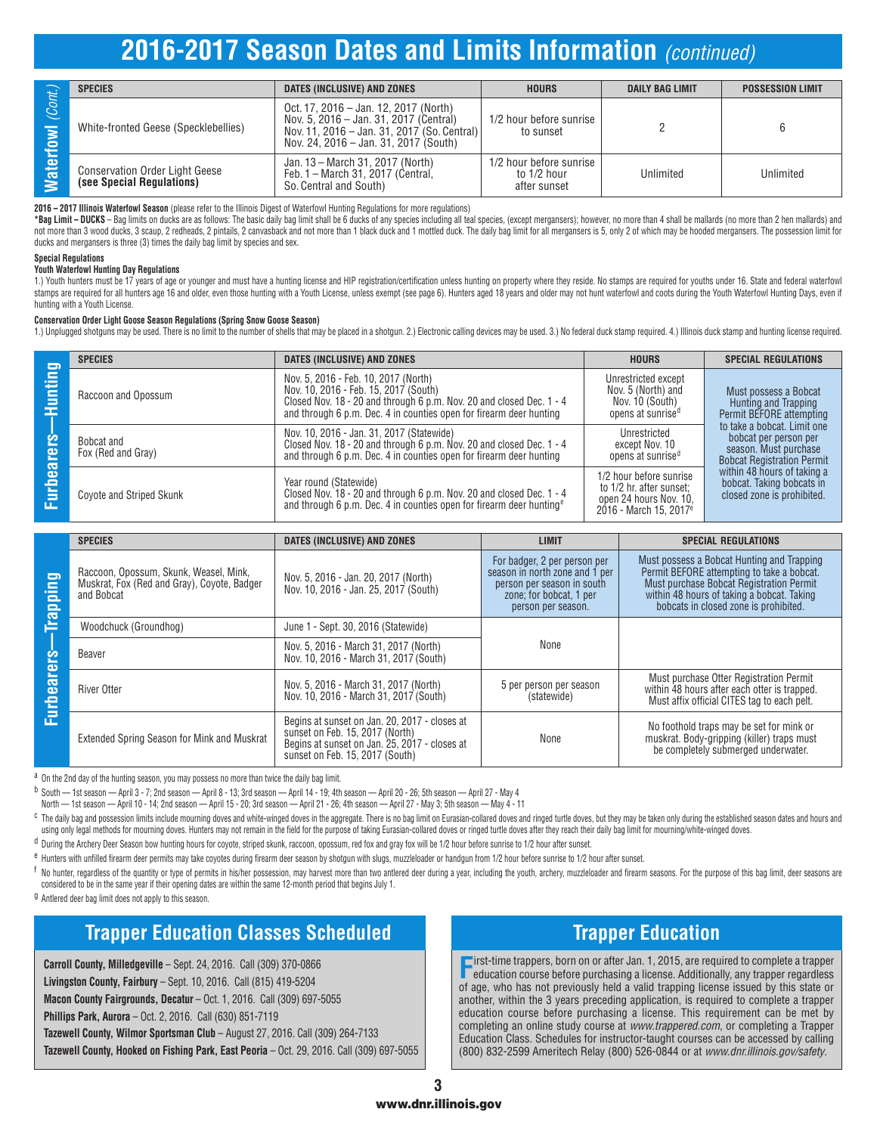# **2016-2017 Season Dates and Limits Information** *(continued)*

| ஜ<br><b>R</b> | <b>SPECIES</b>                                                     | DATES (INCLUSIVE) AND ZONES                                                                                                                                             | <b>HOURS</b>                                           | <b>DAILY BAG LIMIT</b> | <b>POSSESSION LIMIT</b> |
|---------------|--------------------------------------------------------------------|-------------------------------------------------------------------------------------------------------------------------------------------------------------------------|--------------------------------------------------------|------------------------|-------------------------|
|               | White-fronted Geese (Specklebellies)                               | Oct. 17, 2016 – Jan. 12, 2017 (North)<br>Nov. 5, 2016 – Jan. 31, 2017 (Central)<br>Nov. 11, 2016 - Jan. 31, 2017 (So. Central)<br>Nov. 24, 2016 – Jan. 31, 2017 (South) | 1/2 hour before sunrise<br>to sunset                   |                        |                         |
|               | <b>Conservation Order Light Geese</b><br>(see Special Regulations) | Jan. 13 – March 31, 2017 (North)<br>Feb. 1 – March 31, 2017 (Central,<br>So. Central and South)                                                                         | 1/2 hour before sunrise<br>to 1/2 hour<br>after sunset | Unlimited              | Unlimited               |

#### **2016 – 2017 Illinois Waterfowl Season** (please refer to the Illinois Digest of Waterfowl Hunting Regulations for more regulations)

\*Bag Limit - DUCKS - Bag limits on ducks are as follows: The basic daily bag limit shall be 6 ducks of any species including all teal species, (except mergansers); however, no more than 4 shall be mallards (no more than 2 not more than 3 wood ducks, 3 scaup, 2 redheads, 2 pintails, 2 canvasback and not more than 1 black duck and 1 mottled duck. The daily bag limit for all mergansers is 5, only 2 of which may be hooded mergansers. The posses ducks and mergansers is three (3) times the daily bag limit by species and sex.

#### **Special Regulations**

### **Youth Waterfowl Hunting Day Regulations**

1.) Youth hunters must be 17 years of age or younger and must have a hunting license and HIP registration/certification unless hunting on property where they reside. No stamps are required for youths under 16. State and fe stamps are required for all hunters age 16 and older, even those hunting with a Youth License, unless exempt (see page 6). Hunters aged 18 years and older may not hunt waterfowl and coots during the Youth Waterfowl Hunting hunting with a Youth License.

#### **Conservation Order Light Goose Season Regulations (Spring Snow Goose Season)**

1.) Unplugged shotguns may be used. There is no limit to the number of shells that may be placed in a shotgun. 2.) Electronic calling devices may be used. 3.) No federal duck stamp required. 4.) Illinois duck stamp and hun

| 0                                     | <b>SPECIES</b>                   | DATES (INCLUSIVE) AND ZONES                                                                                                                                                                                                  | <b>HOURS</b>                                                                                                        | <b>SPECIAL REGULATIONS</b>                                                                                                                                                                                                                                                                |
|---------------------------------------|----------------------------------|------------------------------------------------------------------------------------------------------------------------------------------------------------------------------------------------------------------------------|---------------------------------------------------------------------------------------------------------------------|-------------------------------------------------------------------------------------------------------------------------------------------------------------------------------------------------------------------------------------------------------------------------------------------|
| 昌<br><u>ဖွ</u><br>흔<br>ಣ<br>മ<br>Furb | Raccoon and Opossum              | Nov. 5, 2016 - Feb. 10, 2017 (North)<br>Nov. 10, 2016 - Feb. 15, 2017 (South)<br>Closed Nov. 18 - 20 and through 6 p.m. Nov. 20 and closed Dec. 1 - 4<br>and through 6 p.m. Dec. 4 in counties open for firearm deer hunting | Unrestricted except<br>Nov. 5 (North) and<br>Nov. 10 (South)<br>opens at sunrise <sup>d</sup>                       | Must possess a Bobcat<br>Hunting and Trapping<br>Permit BEFORE attempting<br>to take a bobcat. Limit one<br>bobcat per person per<br>season. Must purchase<br><b>Bobcat Registration Permit</b><br>within 48 hours of taking a<br>bobcat. Taking bobcats in<br>closed zone is prohibited. |
|                                       | Bobcat and<br>Fox (Red and Gray) | Nov. 10, 2016 - Jan. 31, 2017 (Statewide)<br>Closed Nov. 18 - 20 and through 6 p.m. Nov. 20 and closed Dec. 1 - 4<br>and through 6 p.m. Dec. 4 in counties open for firearm deer hunting                                     | Unrestricted<br>except Nov. 10<br>opens at sunrise <sup>d</sup>                                                     |                                                                                                                                                                                                                                                                                           |
|                                       | <b>Coyote and Striped Skunk</b>  | Year round (Statewide)<br>Closed Nov. 18 - 20 and through 6 p.m. Nov. 20 and closed Dec. 1 - 4<br>and through 6 p.m. Dec. 4 in counties open for firearm deer hunting <sup>e</sup>                                           | 1/2 hour before sunrise<br>to 1/2 hr. after sunset:<br>open 24 hours Nov. 10,<br>2016 - March 15, 2017 <sup>e</sup> |                                                                                                                                                                                                                                                                                           |

| 0<br>Hunting<br><b>Furbearers</b> | Raccoon and Opossum<br>Bobcat and<br>Fox (Red and Gray)                                             | Nov. 5, 2016 - Feb. 10, 2017 (North)<br>Nov. 10, 2016 - Feb. 15, 2017 (South)<br>Closed Nov. 18 - 20 and through 6 p.m. Nov. 20 and closed Dec. 1 - 4<br>and through 6 p.m. Dec. 4 in counties open for firearm deer hunting<br>Nov. 10, 2016 - Jan. 31, 2017 (Statewide)<br>Closed Nov. 18 - 20 and through 6 p.m. Nov. 20 and closed Dec. 1 - 4<br>and through 6 p.m. Dec. 4 in counties open for firearm deer hunting<br>Year round (Statewide) |                                                                                                                                               |  | Unrestricted except<br>Nov. 5 (North) and<br>Nov. 10 (South)<br>opens at sunrise <sup>d</sup><br>Unrestricted<br>except Nov. 10<br>opens at sunrise <sup>d</sup><br>1/2 hour before sunrise<br>to 1/2 hr. after sunset: | Must possess a Bobcat<br>Hunting and Trapping<br>Permit BEFORE attempting<br>to take a bobcat. Limit one<br>bobcat per person per<br>season. Must purchase<br><b>Bobcat Registration Permit</b><br>within 48 hours of taking a<br>bobcat. Taking bobcats in |  |
|-----------------------------------|-----------------------------------------------------------------------------------------------------|----------------------------------------------------------------------------------------------------------------------------------------------------------------------------------------------------------------------------------------------------------------------------------------------------------------------------------------------------------------------------------------------------------------------------------------------------|-----------------------------------------------------------------------------------------------------------------------------------------------|--|-------------------------------------------------------------------------------------------------------------------------------------------------------------------------------------------------------------------------|-------------------------------------------------------------------------------------------------------------------------------------------------------------------------------------------------------------------------------------------------------------|--|
|                                   | Coyote and Striped Skunk                                                                            | Closed Nov. 18 - 20 and through 6 p.m. Nov. 20 and closed Dec. 1 - 4<br>and through 6 p.m. Dec. 4 in counties open for firearm deer hunting <sup>e</sup>                                                                                                                                                                                                                                                                                           |                                                                                                                                               |  | open 24 hours Nov. 10.<br>2016 - March 15, 2017 <sup>e</sup>                                                                                                                                                            | closed zone is prohibited.                                                                                                                                                                                                                                  |  |
|                                   | <b>SPECIES</b>                                                                                      | DATES (INCLUSIVE) AND ZONES                                                                                                                                                                                                                                                                                                                                                                                                                        | <b>LIMIT</b>                                                                                                                                  |  |                                                                                                                                                                                                                         | <b>SPECIAL REGULATIONS</b>                                                                                                                                                                                                                                  |  |
| Trapping<br><b>Furbearers</b>     | Raccoon, Opossum, Skunk, Weasel, Mink,<br>Muskrat, Fox (Red and Gray), Coyote, Badger<br>and Bobcat | Nov. 5, 2016 - Jan. 20, 2017 (North)<br>Nov. 10, 2016 - Jan. 25, 2017 (South)                                                                                                                                                                                                                                                                                                                                                                      | For badger, 2 per person per<br>season in north zone and 1 per<br>person per season in south<br>zone; for bobcat, 1 per<br>person per season. |  |                                                                                                                                                                                                                         | Must possess a Bobcat Hunting and Trapping<br>Permit BEFORE attempting to take a bobcat.<br>Must purchase Bobcat Registration Permit<br>within 48 hours of taking a bobcat. Taking<br>bobcats in closed zone is prohibited.                                 |  |
|                                   | Woodchuck (Groundhog)                                                                               | June 1 - Sept. 30, 2016 (Statewide)                                                                                                                                                                                                                                                                                                                                                                                                                |                                                                                                                                               |  |                                                                                                                                                                                                                         |                                                                                                                                                                                                                                                             |  |
|                                   | Beaver                                                                                              | Nov. 5, 2016 - March 31, 2017 (North)<br>Nov. 10, 2016 - March 31, 2017 (South)                                                                                                                                                                                                                                                                                                                                                                    | None                                                                                                                                          |  |                                                                                                                                                                                                                         |                                                                                                                                                                                                                                                             |  |
|                                   | <b>River Otter</b>                                                                                  | Nov. 5, 2016 - March 31, 2017 (North)<br>Nov. 10, 2016 - March 31, 2017 (South)                                                                                                                                                                                                                                                                                                                                                                    | 5 per person per season<br>(statewide)                                                                                                        |  | Must purchase Otter Registration Permit<br>within 48 hours after each otter is trapped.<br>Must affix official CITES tag to each pelt.                                                                                  |                                                                                                                                                                                                                                                             |  |
|                                   | <b>Extended Spring Season for Mink and Muskrat</b>                                                  | Begins at sunset on Jan. 20, 2017 - closes at<br>sunset on Feb. 15, 2017 (North)<br>Begins at sunset on Jan. 25, 2017 - closes at<br>sunset on Feb. 15, 2017 (South)                                                                                                                                                                                                                                                                               | None                                                                                                                                          |  | No foothold traps may be set for mink or<br>muskrat. Body-gripping (killer) traps must<br>be completely submerged underwater.                                                                                           |                                                                                                                                                                                                                                                             |  |

a On the 2nd day of the hunting season, you may possess no more than twice the daily bag limit.

<sup>b</sup> South — 1st season — April 3 - 7; 2nd season — April 8 - 13; 3rd season — April 14 - 19; 4th season — April 20 - 26; 5th season — April 27 - May 4

North — 1st season — April 10 - 14; 2nd season — April 15 - 20; 3rd season — April 21 - 26; 4th season — April 27 - May 3; 5th season — May 4 - 11

c The daily bag and possession limits include mourning doves and white-winged doves in the aggregate. There is no bag limit on Eurasian-collared doves and ringed turtle doves, but they may be taken only during the establis using only legal methods for mourning doves. Hunters may not remain in the field for the purpose of taking Eurasian-collared doves or ringed turtle doves after they reach their daily bag limit for mourning/white-winged dov

<sup>d</sup> During the Archery Deer Season bow hunting hours for coyote, striped skunk, raccoon, opossum, red fox and gray fox will be 1/2 hour before sunrise to 1/2 hour after sunset.

e Hunters with unfilled firearm deer permits may take coyotes during firearm deer season by shotgun with slugs, muzzleloader or handgun from 1/2 hour before sunrise to 1/2 hour after sunset.

<sup>f</sup> No hunter, regardless of the quantity or type of permits in his/her possession, may harvest more than two antlered deer during a year, including the youth, archery, muzzleloader and firearm seasons. For the purpose of considered to be in the same year if their opening dates are within the same 12-month period that begins July 1.

<sup>g</sup> Antlered deer bag limit does not apply to this season.

## **Trapper Education Classes Scheduled**

**Carroll County, Milledgeville** – Sept. 24, 2016. Call (309) 370-0866 **Livingston County, Fairbury** – Sept. 10, 2016. Call (815) 419-5204 **Macon County Fairgrounds, Decatur** – Oct. 1, 2016. Call (309) 697-5055 **Phillips Park, Aurora** – Oct. 2, 2016. Call (630) 851-7119 **Tazewell County, Wilmor Sportsman Club** – August 27, 2016. Call (309) 264-7133 **Tazewell County, Hooked on Fishing Park, East Peoria** – Oct. 29, 2016. Call (309) 697-5055

# **Trapper Education**

**F**irst-time trappers, born on or after Jan. 1, 2015, are required to complete a trapper  $\blacksquare$  education course before purchasing a license. Additionally, any trapper regardless of age, who has not previously held a valid trapping license issued by this state or another, within the 3 years preceding application, is required to complete a trapper education course before purchasing a license. This requirement can be met by completing an online study course at *www. trappered.com*, or completing a Trapper Education Class. Schedules for instructor-taught courses can be accessed by calling (800) 832-2599 Ameritech Relay (800) 526-0844 or at *www. dnr. illinois. gov/ safety*.